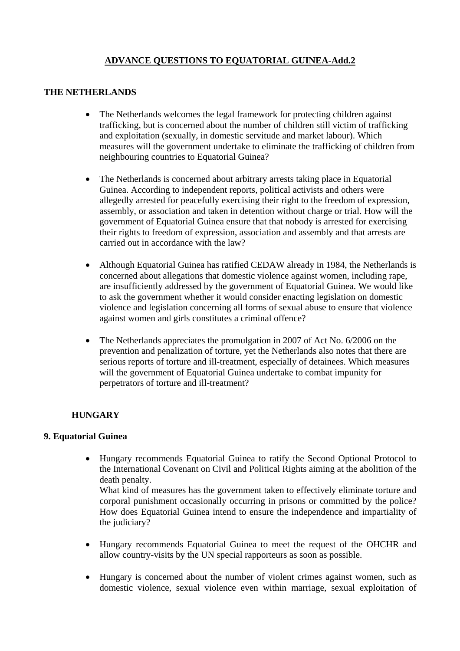## **ADVANCE QUESTIONS TO EQUATORIAL GUINEA-Add.2**

## **THE NETHERLANDS**

- The Netherlands welcomes the legal framework for protecting children against trafficking, but is concerned about the number of children still victim of trafficking and exploitation (sexually, in domestic servitude and market labour). Which measures will the government undertake to eliminate the trafficking of children from neighbouring countries to Equatorial Guinea?
- The Netherlands is concerned about arbitrary arrests taking place in Equatorial Guinea. According to independent reports, political activists and others were allegedly arrested for peacefully exercising their right to the freedom of expression, assembly, or association and taken in detention without charge or trial. How will the government of Equatorial Guinea ensure that that nobody is arrested for exercising their rights to freedom of expression, association and assembly and that arrests are carried out in accordance with the law?
- Although Equatorial Guinea has ratified CEDAW already in 1984, the Netherlands is concerned about allegations that domestic violence against women, including rape, are insufficiently addressed by the government of Equatorial Guinea. We would like to ask the government whether it would consider enacting legislation on domestic violence and legislation concerning all forms of sexual abuse to ensure that violence against women and girls constitutes a criminal offence?
- The Netherlands appreciates the promulgation in 2007 of Act No. 6/2006 on the prevention and penalization of torture, yet the Netherlands also notes that there are serious reports of torture and ill-treatment, especially of detainees. Which measures will the government of Equatorial Guinea undertake to combat impunity for perpetrators of torture and ill-treatment?

## **HUNGARY**

## **9. Equatorial Guinea**

• Hungary recommends Equatorial Guinea to ratify the [Second Optional Protocol to](http://www2.ohchr.org/english/law/ccpr-death.htm)  [the International Covenant on Civil and Political Rights aiming at the abolition of the](http://www2.ohchr.org/english/law/ccpr-death.htm)  [death penalty](http://www2.ohchr.org/english/law/ccpr-death.htm). What kind of measures has the government taken to effectively eliminate torture and

corporal punishment occasionally occurring in prisons or committed by the police? How does Equatorial Guinea intend to ensure the independence and impartiality of the judiciary?

- Hungary recommends Equatorial Guinea to meet the request of the OHCHR and allow country-visits by the UN special rapporteurs as soon as possible.
- Hungary is concerned about the number of violent crimes against women, such as domestic violence, sexual violence even within marriage, sexual exploitation of